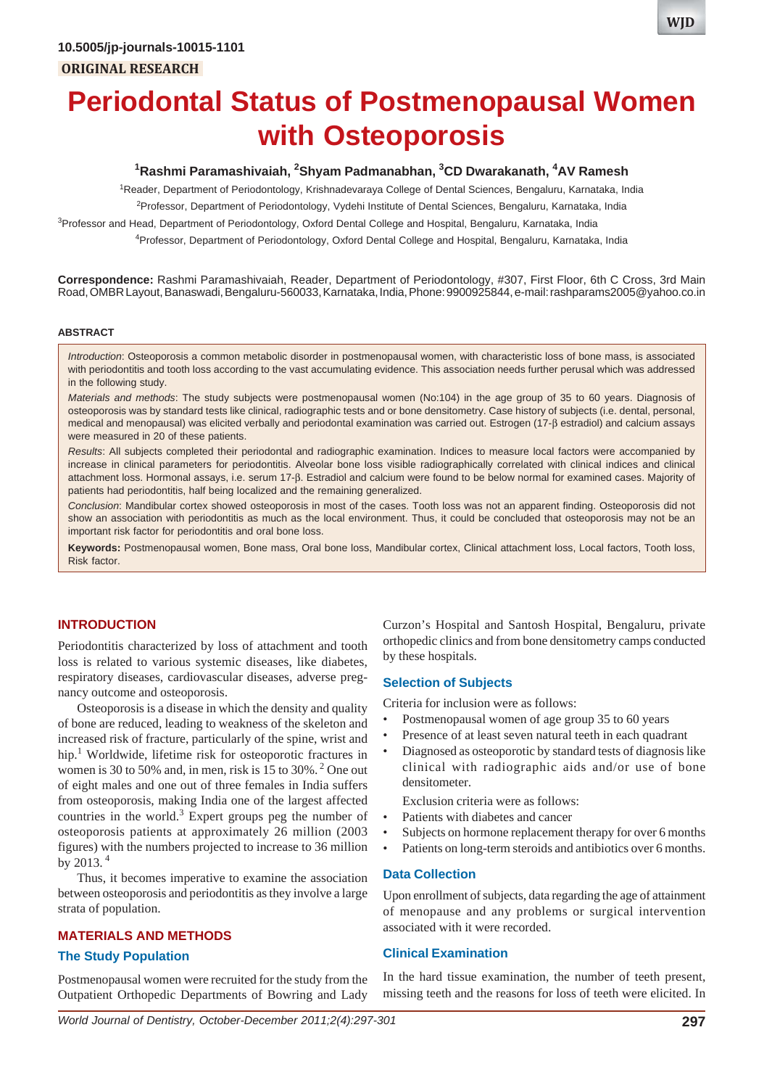

**WJD**

# **Periodontal Status of Postmenopausal Women with Osteoporosis**

#### <sup>1</sup>Rashmi Paramashivaiah, <sup>2</sup>Shyam Padmanabhan, <sup>3</sup>CD Dwarakanath, <sup>4</sup>AV Ramesh

<sup>1</sup>Reader, Department of Periodontology, Krishnadevaraya College of Dental Sciences, Bengaluru, Karnataka, India

2 Professor, Department of Periodontology, Vydehi Institute of Dental Sciences, Bengaluru, Karnataka, India

<sup>3</sup>Professor and Head, Department of Periodontology, Oxford Dental College and Hospital, Bengaluru, Karnataka, India

4 Professor, Department of Periodontology, Oxford Dental College and Hospital, Bengaluru, Karnataka, India

**Correspondence:** Rashmi Paramashivaiah, Reader, Department of Periodontology, #307, First Floor, 6th C Cross, 3rd Main Road, OMBR Layout, Banaswadi, Bengaluru-560033, Karnataka, India, Phone: 9900925844, e-mail: rashparams2005@yahoo.co.in

#### **ABSTRACT**

*Introduction*: Osteoporosis a common metabolic disorder in postmenopausal women, with characteristic loss of bone mass, is associated with periodontitis and tooth loss according to the vast accumulating evidence. This association needs further perusal which was addressed in the following study.

*Materials and methods*: The study subjects were postmenopausal women (No:104) in the age group of 35 to 60 years. Diagnosis of osteoporosis was by standard tests like clinical, radiographic tests and or bone densitometry. Case history of subjects (i.e. dental, personal, medical and menopausal) was elicited verbally and periodontal examination was carried out. Estrogen (17-β estradiol) and calcium assays were measured in 20 of these patients.

*Results*: All subjects completed their periodontal and radiographic examination. Indices to measure local factors were accompanied by increase in clinical parameters for periodontitis. Alveolar bone loss visible radiographically correlated with clinical indices and clinical attachment loss. Hormonal assays, i.e. serum 17-β. Estradiol and calcium were found to be below normal for examined cases. Majority of patients had periodontitis, half being localized and the remaining generalized.

*Conclusion*: Mandibular cortex showed osteoporosis in most of the cases. Tooth loss was not an apparent finding. Osteoporosis did not show an association with periodontitis as much as the local environment. Thus, it could be concluded that osteoporosis may not be an important risk factor for periodontitis and oral bone loss.

**Keywords:** Postmenopausal women, Bone mass, Oral bone loss, Mandibular cortex, Clinical attachment loss, Local factors, Tooth loss, Risk factor.

#### **INTRODUCTION**

Periodontitis characterized by loss of attachment and tooth loss is related to various systemic diseases, like diabetes, respiratory diseases, cardiovascular diseases, adverse pregnancy outcome and osteoporosis.

Osteoporosis is a disease in which the density and quality of bone are reduced, leading to weakness of the skeleton and increased risk of fracture, particularly of the spine, wrist and hip.<sup>1</sup> Worldwide, lifetime risk for osteoporotic fractures in women is 30 to 50% and, in men, risk is 15 to 30%. 2 One out of eight males and one out of three females in India suffers from osteoporosis, making India one of the largest affected countries in the world. $3$  Expert groups peg the number of osteoporosis patients at approximately 26 million (2003 figures) with the numbers projected to increase to 36 million by 2013. 4

Thus, it becomes imperative to examine the association between osteoporosis and periodontitis as they involve a large strata of population.

#### **MATERIALS AND METHODS**

#### **The Study Population**

Postmenopausal women were recruited for the study from the Outpatient Orthopedic Departments of Bowring and Lady

Curzon's Hospital and Santosh Hospital, Bengaluru, private orthopedic clinics and from bone densitometry camps conducted by these hospitals.

#### **Selection of Subjects**

Criteria for inclusion were as follows:

- Postmenopausal women of age group 35 to 60 years
- Presence of at least seven natural teeth in each quadrant
- Diagnosed as osteoporotic by standard tests of diagnosis like clinical with radiographic aids and/or use of bone densitometer.

Exclusion criteria were as follows:

- Patients with diabetes and cancer
- Subjects on hormone replacement therapy for over 6 months
- Patients on long-term steroids and antibiotics over 6 months.

#### **Data Collection**

Upon enrollment of subjects, data regarding the age of attainment of menopause and any problems or surgical intervention associated with it were recorded.

#### **Clinical Examination**

In the hard tissue examination, the number of teeth present, missing teeth and the reasons for loss of teeth were elicited. In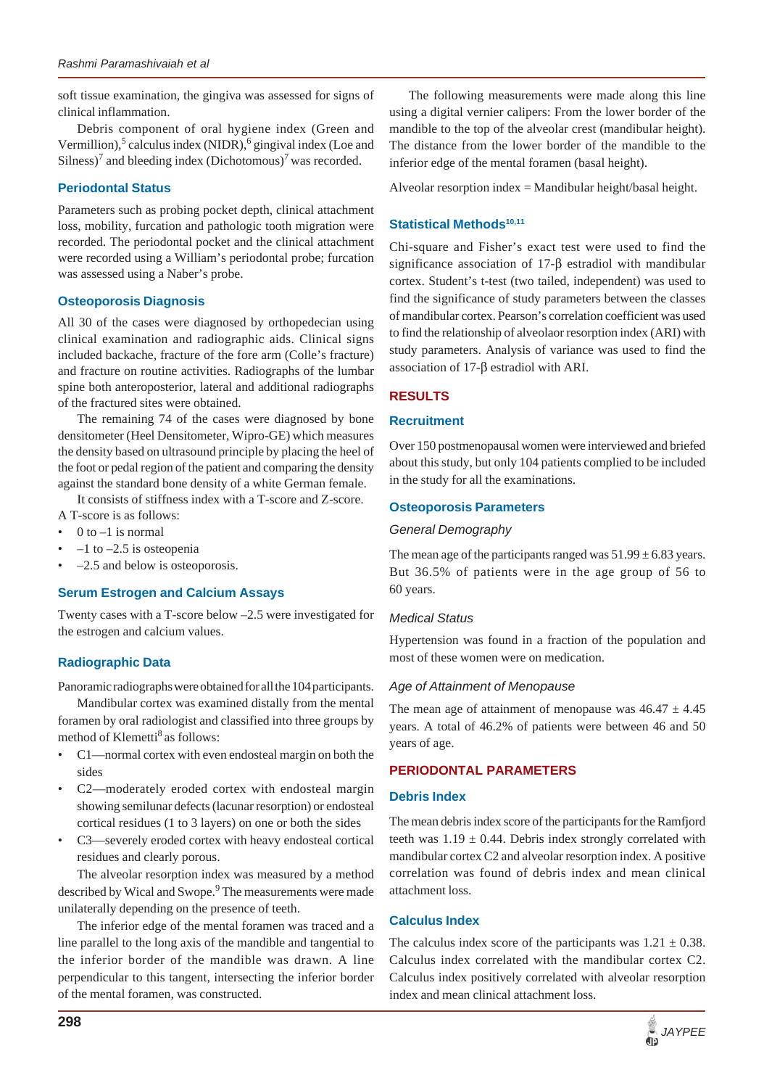soft tissue examination, the gingiva was assessed for signs of clinical inflammation.

Debris component of oral hygiene index (Green and Vermillion),<sup>5</sup> calculus index (NIDR),<sup>6</sup> gingival index (Loe and Silness)<sup>7</sup> and bleeding index (Dichotomous)<sup>7</sup> was recorded.

## **Periodontal Status**

Parameters such as probing pocket depth, clinical attachment loss, mobility, furcation and pathologic tooth migration were recorded. The periodontal pocket and the clinical attachment were recorded using a William's periodontal probe; furcation was assessed using a Naber's probe.

## **Osteoporosis Diagnosis**

All 30 of the cases were diagnosed by orthopedecian using clinical examination and radiographic aids. Clinical signs included backache, fracture of the fore arm (Colle's fracture) and fracture on routine activities. Radiographs of the lumbar spine both anteroposterior, lateral and additional radiographs of the fractured sites were obtained.

The remaining 74 of the cases were diagnosed by bone densitometer (Heel Densitometer, Wipro-GE) which measures the density based on ultrasound principle by placing the heel of the foot or pedal region of the patient and comparing the density against the standard bone density of a white German female.

It consists of stiffness index with a T-score and Z-score.

- A T-score is as follows:
- $0$  to  $-1$  is normal
- $-1$  to  $-2.5$  is osteopenia
- –2.5 and below is osteoporosis.

## **Serum Estrogen and Calcium Assays**

Twenty cases with a T-score below –2.5 were investigated for the estrogen and calcium values.

# **Radiographic Data**

Panoramic radiographs were obtained for all the 104 participants.

Mandibular cortex was examined distally from the mental foramen by oral radiologist and classified into three groups by method of Klemetti<sup>8</sup> as follows:

- C1—normal cortex with even endosteal margin on both the sides
- C2—moderately eroded cortex with endosteal margin showing semilunar defects (lacunar resorption) or endosteal cortical residues (1 to 3 layers) on one or both the sides
- C3—severely eroded cortex with heavy endosteal cortical residues and clearly porous.

The alveolar resorption index was measured by a method described by Wical and Swope.<sup>9</sup> The measurements were made unilaterally depending on the presence of teeth.

The inferior edge of the mental foramen was traced and a line parallel to the long axis of the mandible and tangential to the inferior border of the mandible was drawn. A line perpendicular to this tangent, intersecting the inferior border of the mental foramen, was constructed.

The following measurements were made along this line using a digital vernier calipers: From the lower border of the mandible to the top of the alveolar crest (mandibular height). The distance from the lower border of the mandible to the inferior edge of the mental foramen (basal height).

Alveolar resorption index = Mandibular height/basal height.

# **Statistical Methods<sup>10,11</sup>**

Chi-square and Fisher's exact test were used to find the significance association of 17-β estradiol with mandibular cortex. Student's t-test (two tailed, independent) was used to find the significance of study parameters between the classes of mandibular cortex. Pearson's correlation coefficient was used to find the relationship of alveolaor resorption index (ARI) with study parameters. Analysis of variance was used to find the association of 17-β estradiol with ARI.

# **RESULTS**

## **Recruitment**

Over 150 postmenopausal women were interviewed and briefed about this study, but only 104 patients complied to be included in the study for all the examinations.

## **Osteoporosis Parameters**

## *General Demography*

The mean age of the participants ranged was  $51.99 \pm 6.83$  years. But 36.5% of patients were in the age group of 56 to 60 years.

## *Medical Status*

Hypertension was found in a fraction of the population and most of these women were on medication.

## *Age of Attainment of Menopause*

The mean age of attainment of menopause was  $46.47 \pm 4.45$ years. A total of 46.2% of patients were between 46 and 50 years of age.

# **PERIODONTAL PARAMETERS**

## **Debris Index**

The mean debris index score of the participants for the Ramfjord teeth was  $1.19 \pm 0.44$ . Debris index strongly correlated with mandibular cortex C2 and alveolar resorption index. A positive correlation was found of debris index and mean clinical attachment loss.

## **Calculus Index**

The calculus index score of the participants was  $1.21 \pm 0.38$ . Calculus index correlated with the mandibular cortex C2. Calculus index positively correlated with alveolar resorption index and mean clinical attachment loss.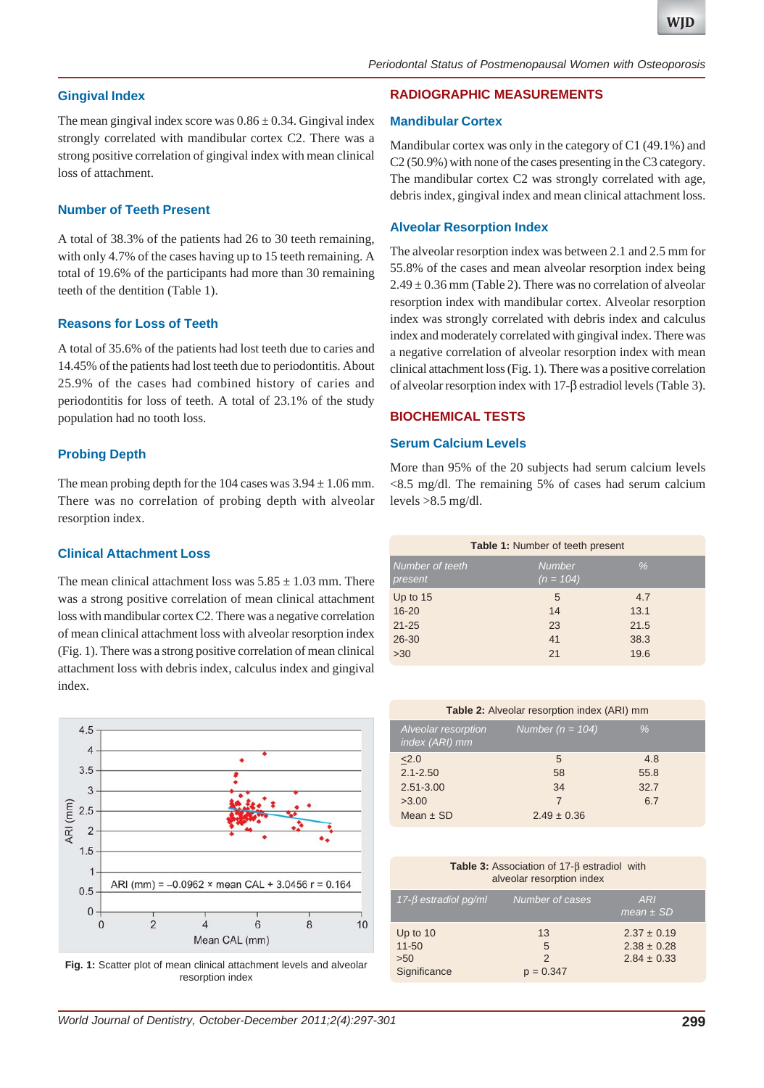## **Gingival Index**

The mean gingival index score was  $0.86 \pm 0.34$ . Gingival index strongly correlated with mandibular cortex C2. There was a strong positive correlation of gingival index with mean clinical loss of attachment.

## **Number of Teeth Present**

A total of 38.3% of the patients had 26 to 30 teeth remaining, with only 4.7% of the cases having up to 15 teeth remaining. A total of 19.6% of the participants had more than 30 remaining teeth of the dentition (Table 1).

## **Reasons for Loss of Teeth**

A total of 35.6% of the patients had lost teeth due to caries and 14.45% of the patients had lost teeth due to periodontitis. About 25.9% of the cases had combined history of caries and periodontitis for loss of teeth. A total of 23.1% of the study population had no tooth loss.

# **Probing Depth**

The mean probing depth for the 104 cases was  $3.94 \pm 1.06$  mm. There was no correlation of probing depth with alveolar resorption index.

## **Clinical Attachment Loss**

The mean clinical attachment loss was  $5.85 \pm 1.03$  mm. There was a strong positive correlation of mean clinical attachment loss with mandibular cortex C2. There was a negative correlation of mean clinical attachment loss with alveolar resorption index (Fig. 1). There was a strong positive correlation of mean clinical attachment loss with debris index, calculus index and gingival index.



**Fig. 1:** Scatter plot of mean clinical attachment levels and alveolar resorption index

# **RADIOGRAPHIC MEASUREMENTS**

#### **Mandibular Cortex**

Mandibular cortex was only in the category of C1 (49.1%) and C2 (50.9%) with none of the cases presenting in the C3 category. The mandibular cortex C2 was strongly correlated with age, debris index, gingival index and mean clinical attachment loss.

## **Alveolar Resorption Index**

The alveolar resorption index was between 2.1 and 2.5 mm for 55.8% of the cases and mean alveolar resorption index being  $2.49 \pm 0.36$  mm (Table 2). There was no correlation of alveolar resorption index with mandibular cortex. Alveolar resorption index was strongly correlated with debris index and calculus index and moderately correlated with gingival index. There was a negative correlation of alveolar resorption index with mean clinical attachment loss (Fig. 1). There was a positive correlation of alveolar resorption index with 17-β estradiol levels (Table 3).

## **BIOCHEMICAL TESTS**

## **Serum Calcium Levels**

More than 95% of the 20 subjects had serum calcium levels <8.5 mg/dl. The remaining 5% of cases had serum calcium levels  $>8.5$  mg/dl.

| <b>Table 1: Number of teeth present</b> |                              |      |  |  |  |  |
|-----------------------------------------|------------------------------|------|--|--|--|--|
| Number of teeth<br>present              | <b>Number</b><br>$(n = 104)$ | $\%$ |  |  |  |  |
| Up to $15$                              | 5                            | 4.7  |  |  |  |  |
| $16 - 20$                               | 14                           | 13.1 |  |  |  |  |
| $21 - 25$                               | 23                           | 21.5 |  |  |  |  |
| 26-30                                   | 41                           | 38.3 |  |  |  |  |
| $>30$                                   | 21                           | 19.6 |  |  |  |  |

| <b>Table 2:</b> Alveolar resorption index (ARI) mm        |                      |      |  |  |  |
|-----------------------------------------------------------|----------------------|------|--|--|--|
| Alveolar resorption<br><sub>I</sub> index (ĀRI) <u>mm</u> | Number ( $n = 104$ ) | $\%$ |  |  |  |
| 2.0                                                       | 5                    | 4.8  |  |  |  |
| $2.1 - 2.50$                                              | 58                   | 55.8 |  |  |  |
| 2.51-3.00                                                 | 34                   | 32.7 |  |  |  |
| >3.00                                                     | 7                    | 6.7  |  |  |  |
| Mean $\pm$ SD                                             | $2.49 \pm 0.36$      |      |  |  |  |

**Table 3:** Association of 17-β estradiol with alveolar resorption index

| $17 - \beta$ estradiol pg/ml | Number of cases | ARI                              |
|------------------------------|-----------------|----------------------------------|
|                              |                 |                                  |
|                              |                 |                                  |
|                              |                 |                                  |
|                              |                 |                                  |
| $11 - 50$                    | 5               | $2.38 \pm 0.28$                  |
| $>50$                        | $\mathcal{P}$   | $2.84 \pm 0.33$                  |
| Significance                 | $p = 0.347$     |                                  |
| Up to $10$                   | 13              | mean $\pm$ SD<br>$2.37 \pm 0.19$ |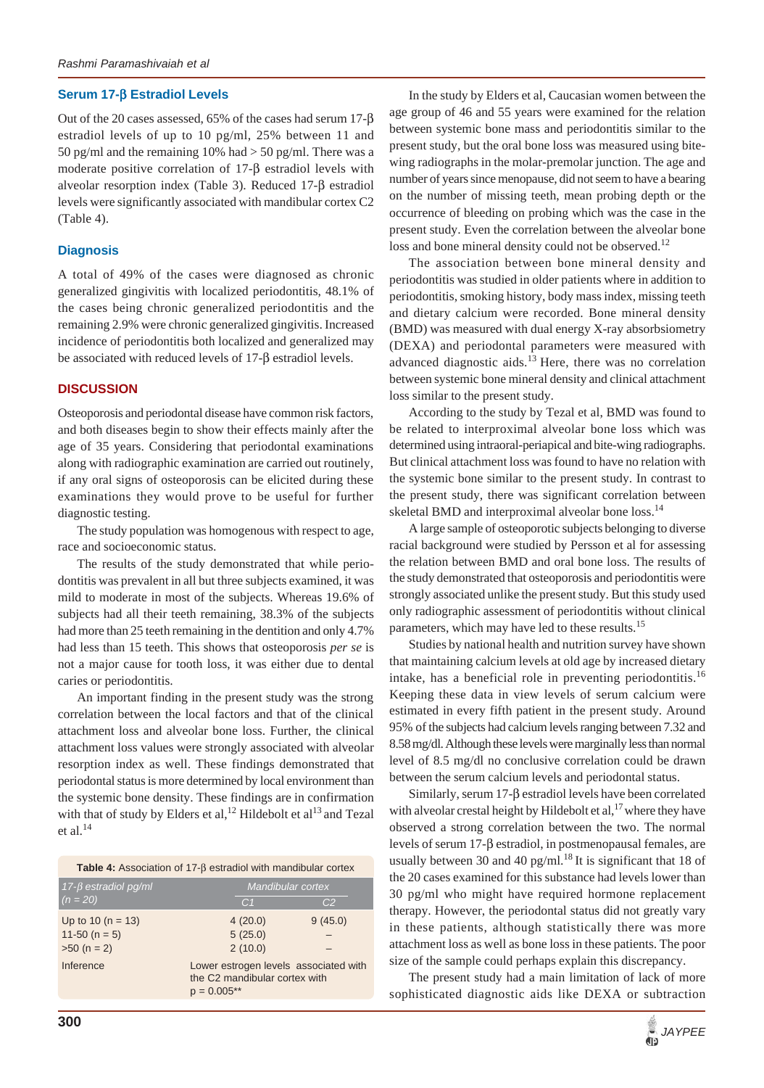#### **Serum 17-**β **Estradiol Levels**

Out of the 20 cases assessed, 65% of the cases had serum 17-β estradiol levels of up to 10 pg/ml, 25% between 11 and 50 pg/ml and the remaining 10% had  $>$  50 pg/ml. There was a moderate positive correlation of 17-β estradiol levels with alveolar resorption index (Table 3). Reduced 17-β estradiol levels were significantly associated with mandibular cortex C2 (Table 4).

#### **Diagnosis**

A total of 49% of the cases were diagnosed as chronic generalized gingivitis with localized periodontitis, 48.1% of the cases being chronic generalized periodontitis and the remaining 2.9% were chronic generalized gingivitis. Increased incidence of periodontitis both localized and generalized may be associated with reduced levels of 17-β estradiol levels.

## **DISCUSSION**

Osteoporosis and periodontal disease have common risk factors, and both diseases begin to show their effects mainly after the age of 35 years. Considering that periodontal examinations along with radiographic examination are carried out routinely, if any oral signs of osteoporosis can be elicited during these examinations they would prove to be useful for further diagnostic testing.

The study population was homogenous with respect to age, race and socioeconomic status.

The results of the study demonstrated that while periodontitis was prevalent in all but three subjects examined, it was mild to moderate in most of the subjects. Whereas 19.6% of subjects had all their teeth remaining, 38.3% of the subjects had more than 25 teeth remaining in the dentition and only 4.7% had less than 15 teeth. This shows that osteoporosis *per se* is not a major cause for tooth loss, it was either due to dental caries or periodontitis.

An important finding in the present study was the strong correlation between the local factors and that of the clinical attachment loss and alveolar bone loss. Further, the clinical attachment loss values were strongly associated with alveolar resorption index as well. These findings demonstrated that periodontal status is more determined by local environment than the systemic bone density. These findings are in confirmation with that of study by Elders et al,<sup>12</sup> Hildebolt et al<sup>13</sup> and Tezal et al. $^{14}$ 

**Table 4:** Association of 17-β estradiol with mandibular cortex

| Up to 10 ( $n = 13$ )<br>4(20.0)<br>9(45.0)<br>11-50 ( $n = 5$ )<br>5(25.0)<br>2(10.0)<br>$>50 (n = 2)$ | 17- $β$ estradiol pg/ml<br>$(n = 20)$ |  | Mandibular cortex<br>C <sub>1</sub><br>C <sub>2</sub> |  |
|---------------------------------------------------------------------------------------------------------|---------------------------------------|--|-------------------------------------------------------|--|
| Inference<br>Lower estrogen levels associated with<br>the C2 mandibular cortex with<br>$p = 0.005**$    |                                       |  |                                                       |  |

In the study by Elders et al, Caucasian women between the age group of 46 and 55 years were examined for the relation between systemic bone mass and periodontitis similar to the present study, but the oral bone loss was measured using bitewing radiographs in the molar-premolar junction. The age and number of years since menopause, did not seem to have a bearing on the number of missing teeth, mean probing depth or the occurrence of bleeding on probing which was the case in the present study. Even the correlation between the alveolar bone loss and bone mineral density could not be observed.<sup>12</sup>

The association between bone mineral density and periodontitis was studied in older patients where in addition to periodontitis, smoking history, body mass index, missing teeth and dietary calcium were recorded. Bone mineral density (BMD) was measured with dual energy X-ray absorbsiometry (DEXA) and periodontal parameters were measured with advanced diagnostic aids.<sup>13</sup> Here, there was no correlation between systemic bone mineral density and clinical attachment loss similar to the present study.

According to the study by Tezal et al, BMD was found to be related to interproximal alveolar bone loss which was determined using intraoral-periapical and bite-wing radiographs. But clinical attachment loss was found to have no relation with the systemic bone similar to the present study. In contrast to the present study, there was significant correlation between skeletal BMD and interproximal alveolar bone loss.<sup>14</sup>

A large sample of osteoporotic subjects belonging to diverse racial background were studied by Persson et al for assessing the relation between BMD and oral bone loss. The results of the study demonstrated that osteoporosis and periodontitis were strongly associated unlike the present study. But this study used only radiographic assessment of periodontitis without clinical parameters, which may have led to these results.<sup>15</sup>

Studies by national health and nutrition survey have shown that maintaining calcium levels at old age by increased dietary intake, has a beneficial role in preventing periodontitis.<sup>16</sup> Keeping these data in view levels of serum calcium were estimated in every fifth patient in the present study. Around 95% of the subjects had calcium levels ranging between 7.32 and 8.58 mg/dl. Although these levels were marginally less than normal level of 8.5 mg/dl no conclusive correlation could be drawn between the serum calcium levels and periodontal status.

Similarly, serum 17-β estradiol levels have been correlated with alveolar crestal height by Hildebolt et al,<sup>17</sup> where they have observed a strong correlation between the two. The normal levels of serum 17-β estradiol, in postmenopausal females, are usually between 30 and 40 pg/ml.<sup>18</sup> It is significant that 18 of the 20 cases examined for this substance had levels lower than 30 pg/ml who might have required hormone replacement therapy. However, the periodontal status did not greatly vary in these patients, although statistically there was more attachment loss as well as bone loss in these patients. The poor size of the sample could perhaps explain this discrepancy.

The present study had a main limitation of lack of more sophisticated diagnostic aids like DEXA or subtraction